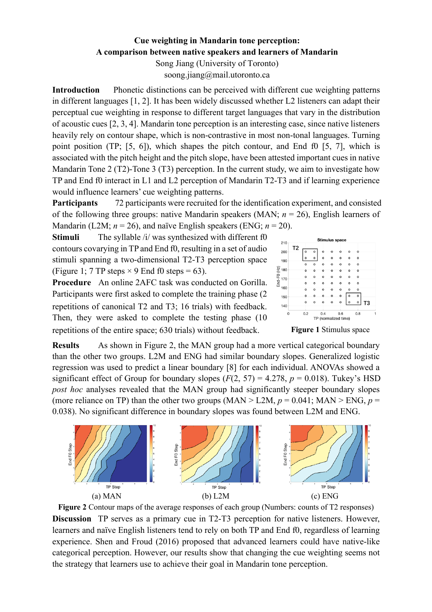## **Cue weighting in Mandarin tone perception: A comparison between native speakers and learners of Mandarin**

Song Jiang (University of Toronto) soong.jiang@mail.utoronto.ca

**Introduction** Phonetic distinctions can be perceived with different cue weighting patterns in different languages [1, 2]. It has been widely discussed whether L2 listeners can adapt their perceptual cue weighting in response to different target languages that vary in the distribution of acoustic cues [2, 3, 4]. Mandarin tone perception is an interesting case, since native listeners heavily rely on contour shape, which is non-contrastive in most non-tonal languages. Turning point position (TP; [5, 6]), which shapes the pitch contour, and End f0 [5, 7], which is associated with the pitch height and the pitch slope, have been attested important cues in native Mandarin Tone 2 (T2)-Tone 3 (T3) perception. In the current study, we aim to investigate how TP and End f0 interact in L1 and L2 perception of Mandarin T2-T3 and if learning experience would influence learners' cue weighting patterns.

**Participants** 72 participants were recruited for the identification experiment, and consisted of the following three groups: native Mandarin speakers (MAN; *n* = 26), English learners of Mandarin (L2M;  $n = 26$ ), and naïve English speakers (ENG;  $n = 20$ ).

**Stimuli** The syllable /i/ was synthesized with different f0 contours covarying in TP and End f0, resulting in a set of audio **T2** stimuli spanning a two-dimensional T2-T3 perception space (Figure 1; 7 TP steps  $\times$  9 End f0 steps = 63).



**Procedure** An online 2AFC task was conducted on Gorilla. Participants were first asked to complete the training phase (2 **T3** repetitions of canonical T2 and T3; 16 trials) with feedback. Then, they were asked to complete the testing phase (10 repetitions of the entire space; 630 trials) without feedback. **Figure 1** Stimulus space

**Results** As shown in Figure 2, the MAN group had a more vertical categorical boundary than the other two groups. L2M and ENG had similar boundary slopes. Generalized logistic regression was used to predict a linear boundary [8] for each individual. ANOVAs showed a significant effect of Group for boundary slopes  $(F(2, 57) = 4.278, p = 0.018)$ . Tukey's HSD *post hoc* analyses revealed that the MAN group had significantly steeper boundary slopes (more reliance on TP) than the other two groups (MAN > L2M,  $p = 0.041$ ; MAN > ENG,  $p =$ 0.038). No significant difference in boundary slopes was found between L2M and ENG.



**Figure 2** Contour maps of the average responses of each group (Numbers: counts of T2 responses) **Discussion** TP serves as a primary cue in T2-T3 perception for native listeners. However, learners and naïve English listeners tend to rely on both TP and End f0, regardless of learning experience. Shen and Froud (2016) proposed that advanced learners could have native-like categorical perception. However, our results show that changing the cue weighting seems not the strategy that learners use to achieve their goal in Mandarin tone perception.